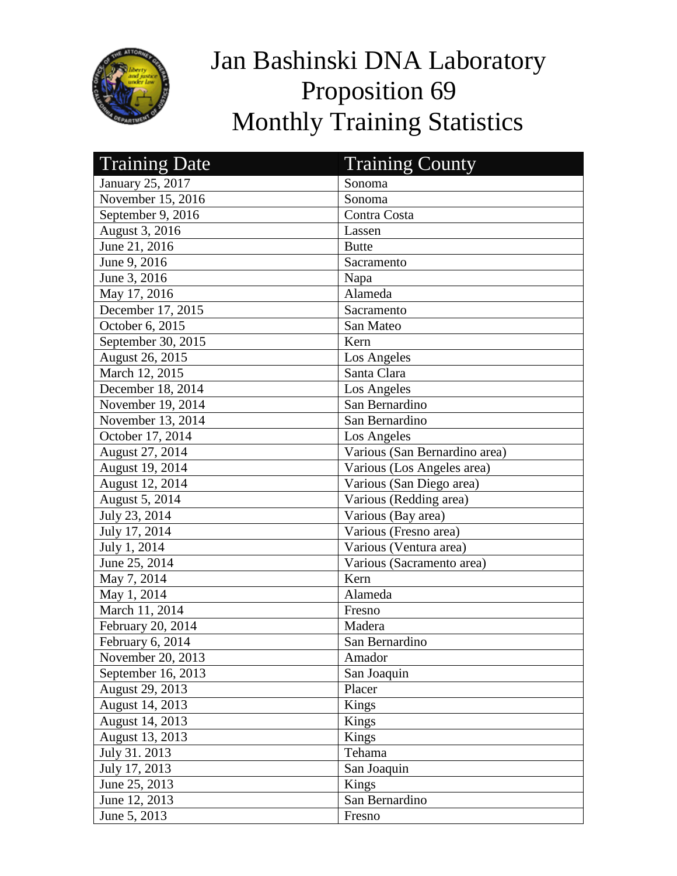

## Jan Bashinski DNA Laboratory Proposition 69 Monthly Training Statistics

| <b>Training Date</b> | <b>Training County</b>        |
|----------------------|-------------------------------|
| January 25, 2017     | Sonoma                        |
| November 15, 2016    | Sonoma                        |
| September 9, 2016    | Contra Costa                  |
| August 3, 2016       | Lassen                        |
| June 21, 2016        | <b>Butte</b>                  |
| June 9, 2016         | Sacramento                    |
| June 3, 2016         | Napa                          |
| May 17, 2016         | Alameda                       |
| December 17, 2015    | Sacramento                    |
| October 6, 2015      | San Mateo                     |
| September 30, 2015   | Kern                          |
| August 26, 2015      | Los Angeles                   |
| March 12, 2015       | Santa Clara                   |
| December 18, 2014    | Los Angeles                   |
| November 19, 2014    | San Bernardino                |
| November 13, 2014    | San Bernardino                |
| October 17, 2014     | Los Angeles                   |
| August 27, 2014      | Various (San Bernardino area) |
| August 19, 2014      | Various (Los Angeles area)    |
| August 12, 2014      | Various (San Diego area)      |
| August 5, 2014       | Various (Redding area)        |
| July 23, 2014        | Various (Bay area)            |
| July 17, 2014        | Various (Fresno area)         |
| July 1, 2014         | Various (Ventura area)        |
| June 25, 2014        | Various (Sacramento area)     |
| May 7, 2014          | Kern                          |
| May 1, 2014          | Alameda                       |
| March 11, 2014       | Fresno                        |
| February 20, 2014    | Madera                        |
| February 6, 2014     | San Bernardino                |
| November 20, 2013    | Amador                        |
| September 16, 2013   | San Joaquin                   |
| August 29, 2013      | Placer                        |
| August 14, 2013      | Kings                         |
| August 14, 2013      | Kings                         |
| August 13, 2013      | Kings                         |
| July 31. 2013        | Tehama                        |
| July 17, 2013        | San Joaquin                   |
| June 25, 2013        | Kings                         |
| June 12, 2013        | San Bernardino                |
| June 5, 2013         | Fresno                        |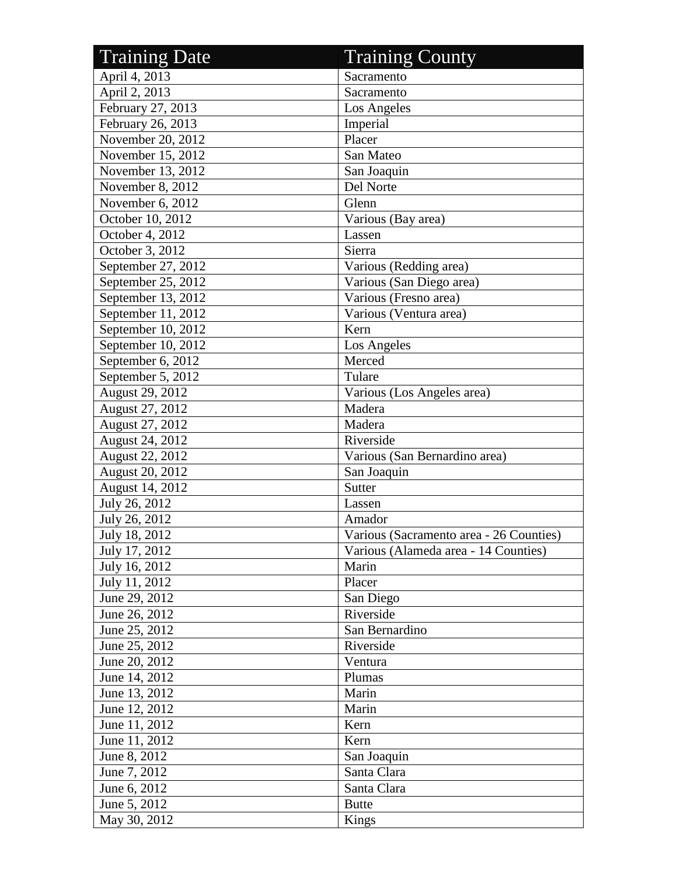| <b>Training Date</b>   | <b>Training County</b>                  |
|------------------------|-----------------------------------------|
| April 4, 2013          | Sacramento                              |
| April 2, 2013          | Sacramento                              |
| February 27, 2013      | Los Angeles                             |
| February 26, 2013      | Imperial                                |
| November 20, 2012      | Placer                                  |
| November $15, 2012$    | San Mateo                               |
| November 13, 2012      | San Joaquin                             |
| November 8, 2012       | Del Norte                               |
| November 6, 2012       | Glenn                                   |
| October 10, 2012       | Various (Bay area)                      |
| October 4, 2012        | Lassen                                  |
| October 3, 2012        | Sierra                                  |
| September 27, 2012     | Various (Redding area)                  |
| September 25, 2012     | Various (San Diego area)                |
| September 13, 2012     | Various (Fresno area)                   |
| September 11, 2012     | Various (Ventura area)                  |
| September 10, 2012     | Kern                                    |
| September 10, 2012     | Los Angeles                             |
| September 6, 2012      | Merced                                  |
| September 5, 2012      | Tulare                                  |
| August 29, 2012        | Various (Los Angeles area)              |
| <b>August 27, 2012</b> | Madera                                  |
| August 27, 2012        | Madera                                  |
| August 24, 2012        | Riverside                               |
| August 22, 2012        | Various (San Bernardino area)           |
| August 20, 2012        | San Joaquin                             |
| August 14, 2012        | <b>Sutter</b>                           |
| July 26, 2012          | Lassen                                  |
| July 26, 2012          | Amador                                  |
| July 18, 2012          | Various (Sacramento area - 26 Counties) |
| July 17, 2012          | Various (Alameda area - 14 Counties)    |
| July 16, 2012          | Marin                                   |
| July 11, 2012          | Placer                                  |
| June 29, 2012          | San Diego                               |
| June 26, 2012          | Riverside                               |
| June 25, 2012          | San Bernardino                          |
| June 25, 2012          | Riverside                               |
| June 20, 2012          | Ventura                                 |
| June 14, 2012          | Plumas                                  |
| June 13, 2012          | Marin                                   |
| June 12, 2012          | Marin                                   |
| June 11, 2012          | Kern                                    |
| June 11, 2012          | Kern                                    |
| June 8, 2012           | San Joaquin                             |
| June 7, 2012           | Santa Clara                             |
| June 6, 2012           | Santa Clara                             |
| June 5, 2012           | <b>Butte</b>                            |
| May 30, 2012           | Kings                                   |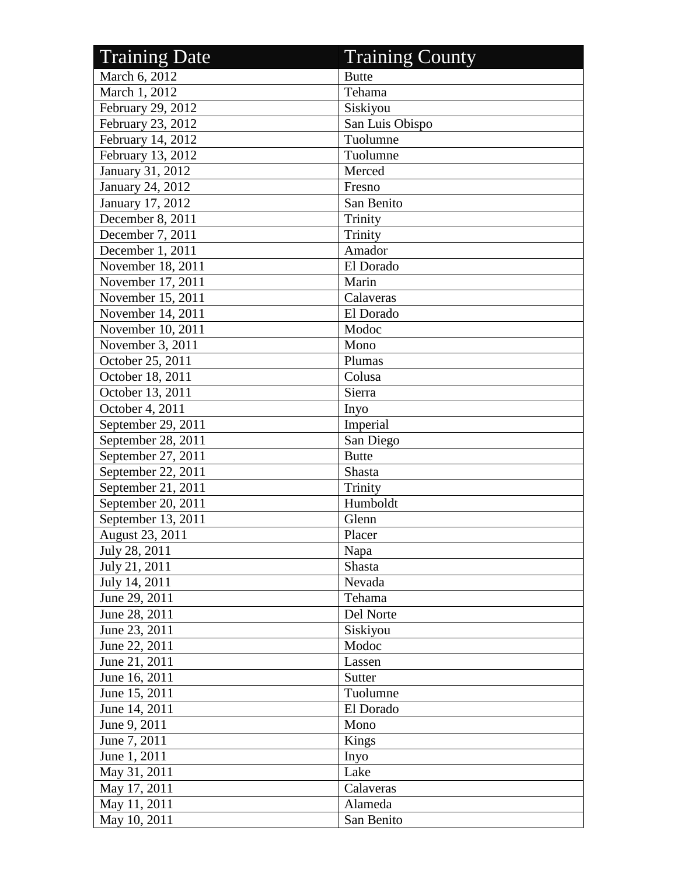| <b>Training Date</b> | <b>Training County</b> |
|----------------------|------------------------|
| March 6, 2012        | <b>Butte</b>           |
| March 1, 2012        | Tehama                 |
| February 29, 2012    | Siskiyou               |
| February 23, 2012    | San Luis Obispo        |
| February 14, 2012    | Tuolumne               |
| February 13, 2012    | Tuolumne               |
| January 31, 2012     | Merced                 |
| January 24, 2012     | Fresno                 |
| January 17, 2012     | San Benito             |
| December 8, 2011     | Trinity                |
| December 7, 2011     | Trinity                |
| December 1, 2011     | Amador                 |
| November 18, 2011    | El Dorado              |
| November 17, 2011    | Marin                  |
| November 15, 2011    | Calaveras              |
| November 14, 2011    | El Dorado              |
| November 10, 2011    | Modoc                  |
| November 3, 2011     | Mono                   |
| October 25, 2011     | Plumas                 |
| October 18, 2011     | Colusa                 |
| October 13, 2011     | Sierra                 |
| October 4, 2011      | Inyo                   |
| September 29, 2011   | Imperial               |
| September 28, 2011   | San Diego              |
| September 27, 2011   | <b>Butte</b>           |
| September 22, 2011   | Shasta                 |
| September 21, 2011   | Trinity                |
| September 20, 2011   | Humboldt               |
| September 13, 2011   | Glenn                  |
| August 23, 2011      | Placer                 |
| July 28, 2011        | Napa                   |
| July 21, 2011        | Shasta                 |
| July 14, 2011        | Nevada                 |
| June 29, 2011        | Tehama                 |
| June 28, 2011        | Del Norte              |
| June 23, 2011        | Siskiyou               |
| June 22, 2011        | Modoc                  |
| June 21, 2011        | Lassen                 |
| June 16, 2011        | Sutter                 |
| June 15, 2011        | Tuolumne               |
| June 14, 2011        | El Dorado              |
| June 9, 2011         | Mono                   |
| June 7, 2011         | Kings                  |
| June 1, 2011         | Inyo                   |
| May 31, 2011         | Lake                   |
| May 17, 2011         | Calaveras              |
| May 11, 2011         | Alameda                |
| May 10, 2011         | San Benito             |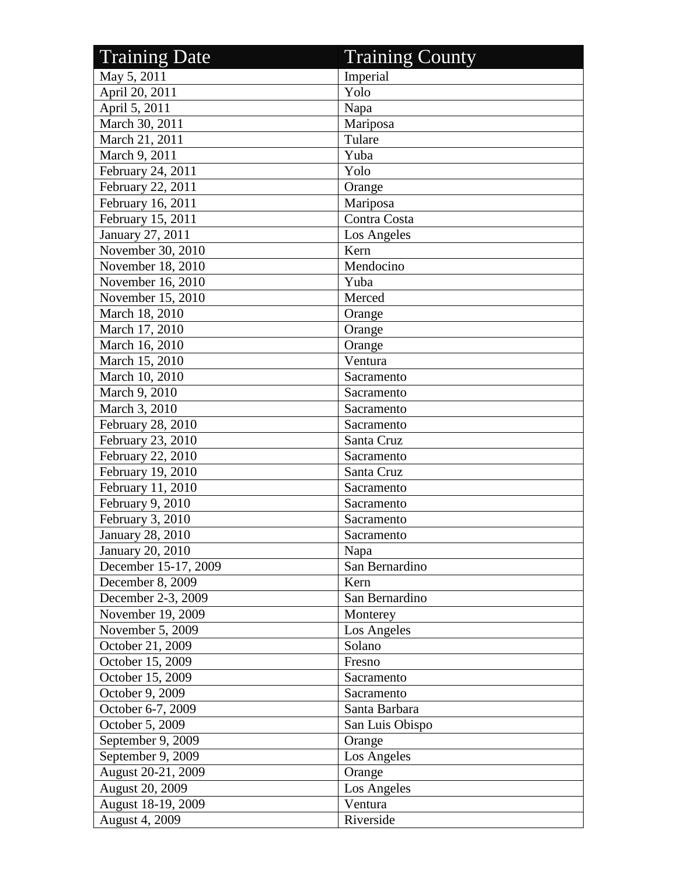| <b>Training Date</b>   | <b>Training County</b> |
|------------------------|------------------------|
| May 5, 2011            | Imperial               |
| April 20, 2011         | Yolo                   |
| April 5, 2011          | Napa                   |
| March 30, 2011         | Mariposa               |
| March 21, 2011         | Tulare                 |
| March 9, 2011          | Yuba                   |
| February 24, 2011      | Yolo                   |
| February 22, 2011      | Orange                 |
| February 16, 2011      | Mariposa               |
| February 15, 2011      | Contra Costa           |
| January 27, 2011       | Los Angeles            |
| November 30, 2010      | Kern                   |
| November 18, 2010      | Mendocino              |
| November 16, 2010      | Yuba                   |
| November 15, 2010      | Merced                 |
| March 18, 2010         | Orange                 |
| March 17, 2010         | Orange                 |
| March 16, 2010         | Orange                 |
| March 15, 2010         | Ventura                |
| March 10, 2010         | Sacramento             |
| March 9, 2010          | Sacramento             |
| March 3, 2010          | Sacramento             |
| February 28, 2010      | Sacramento             |
| February 23, 2010      | Santa Cruz             |
| February 22, 2010      | Sacramento             |
| February 19, 2010      | Santa Cruz             |
| February 11, 2010      | Sacramento             |
| February 9, 2010       | Sacramento             |
| February 3, 2010       | Sacramento             |
| January 28, 2010       | Sacramento             |
| January 20, 2010       | Napa                   |
| December 15-17, 2009   | San Bernardino         |
| December 8, 2009       | Kern                   |
| December 2-3, 2009     | San Bernardino         |
| November 19, 2009      | Monterey               |
| November 5, 2009       | Los Angeles            |
| October 21, 2009       | Solano                 |
| October 15, 2009       | Fresno                 |
| October 15, 2009       | Sacramento             |
| October 9, 2009        | Sacramento             |
| October 6-7, 2009      | Santa Barbara          |
| October 5, 2009        | San Luis Obispo        |
| September 9, 2009      | Orange                 |
| September 9, 2009      | Los Angeles            |
| August 20-21, 2009     | Orange                 |
| <b>August 20, 2009</b> | Los Angeles            |
| August 18-19, 2009     | Ventura                |
| August 4, 2009         | Riverside              |